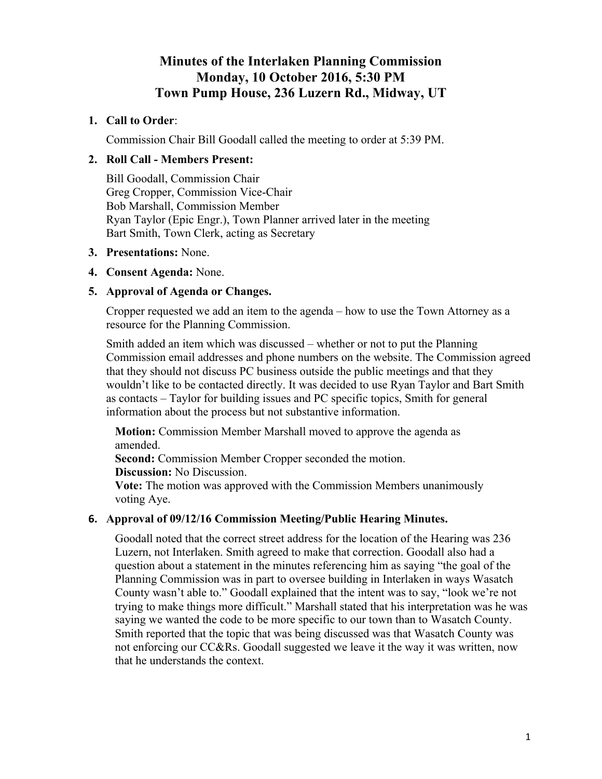# **Minutes of the Interlaken Planning Commission Monday, 10 October 2016, 5:30 PM Town Pump House, 236 Luzern Rd., Midway, UT**

## **1. Call to Order**:

Commission Chair Bill Goodall called the meeting to order at 5:39 PM.

## **2. Roll Call - Members Present:**

Bill Goodall, Commission Chair Greg Cropper, Commission Vice-Chair Bob Marshall, Commission Member Ryan Taylor (Epic Engr.), Town Planner arrived later in the meeting Bart Smith, Town Clerk, acting as Secretary

### **3. Presentations:** None.

### **4. Consent Agenda:** None.

## **5. Approval of Agenda or Changes.**

Cropper requested we add an item to the agenda – how to use the Town Attorney as a resource for the Planning Commission.

Smith added an item which was discussed – whether or not to put the Planning Commission email addresses and phone numbers on the website. The Commission agreed that they should not discuss PC business outside the public meetings and that they wouldn't like to be contacted directly. It was decided to use Ryan Taylor and Bart Smith as contacts – Taylor for building issues and PC specific topics, Smith for general information about the process but not substantive information.

**Motion:** Commission Member Marshall moved to approve the agenda as amended.

**Second:** Commission Member Cropper seconded the motion.

**Discussion:** No Discussion.

**Vote:** The motion was approved with the Commission Members unanimously voting Aye.

## **6. Approval of 09/12/16 Commission Meeting/Public Hearing Minutes.**

Goodall noted that the correct street address for the location of the Hearing was 236 Luzern, not Interlaken. Smith agreed to make that correction. Goodall also had a question about a statement in the minutes referencing him as saying "the goal of the Planning Commission was in part to oversee building in Interlaken in ways Wasatch County wasn't able to." Goodall explained that the intent was to say, "look we're not trying to make things more difficult." Marshall stated that his interpretation was he was saying we wanted the code to be more specific to our town than to Wasatch County. Smith reported that the topic that was being discussed was that Wasatch County was not enforcing our CC&Rs. Goodall suggested we leave it the way it was written, now that he understands the context.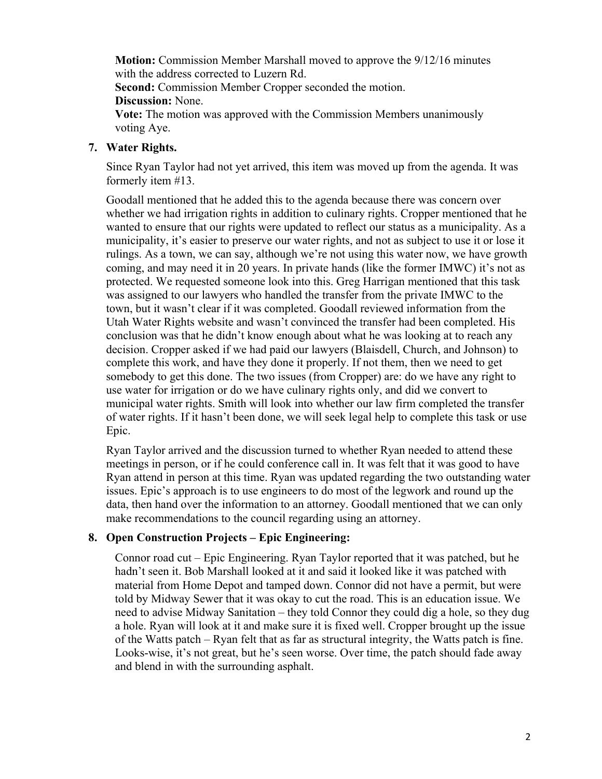**Motion:** Commission Member Marshall moved to approve the 9/12/16 minutes with the address corrected to Luzern Rd.

**Second:** Commission Member Cropper seconded the motion.

**Discussion:** None.

**Vote:** The motion was approved with the Commission Members unanimously voting Aye.

## **7. Water Rights.**

Since Ryan Taylor had not yet arrived, this item was moved up from the agenda. It was formerly item #13.

Goodall mentioned that he added this to the agenda because there was concern over whether we had irrigation rights in addition to culinary rights. Cropper mentioned that he wanted to ensure that our rights were updated to reflect our status as a municipality. As a municipality, it's easier to preserve our water rights, and not as subject to use it or lose it rulings. As a town, we can say, although we're not using this water now, we have growth coming, and may need it in 20 years. In private hands (like the former IMWC) it's not as protected. We requested someone look into this. Greg Harrigan mentioned that this task was assigned to our lawyers who handled the transfer from the private IMWC to the town, but it wasn't clear if it was completed. Goodall reviewed information from the Utah Water Rights website and wasn't convinced the transfer had been completed. His conclusion was that he didn't know enough about what he was looking at to reach any decision. Cropper asked if we had paid our lawyers (Blaisdell, Church, and Johnson) to complete this work, and have they done it properly. If not them, then we need to get somebody to get this done. The two issues (from Cropper) are: do we have any right to use water for irrigation or do we have culinary rights only, and did we convert to municipal water rights. Smith will look into whether our law firm completed the transfer of water rights. If it hasn't been done, we will seek legal help to complete this task or use Epic.

Ryan Taylor arrived and the discussion turned to whether Ryan needed to attend these meetings in person, or if he could conference call in. It was felt that it was good to have Ryan attend in person at this time. Ryan was updated regarding the two outstanding water issues. Epic's approach is to use engineers to do most of the legwork and round up the data, then hand over the information to an attorney. Goodall mentioned that we can only make recommendations to the council regarding using an attorney.

## **8. Open Construction Projects – Epic Engineering:**

Connor road cut – Epic Engineering. Ryan Taylor reported that it was patched, but he hadn't seen it. Bob Marshall looked at it and said it looked like it was patched with material from Home Depot and tamped down. Connor did not have a permit, but were told by Midway Sewer that it was okay to cut the road. This is an education issue. We need to advise Midway Sanitation – they told Connor they could dig a hole, so they dug a hole. Ryan will look at it and make sure it is fixed well. Cropper brought up the issue of the Watts patch – Ryan felt that as far as structural integrity, the Watts patch is fine. Looks-wise, it's not great, but he's seen worse. Over time, the patch should fade away and blend in with the surrounding asphalt.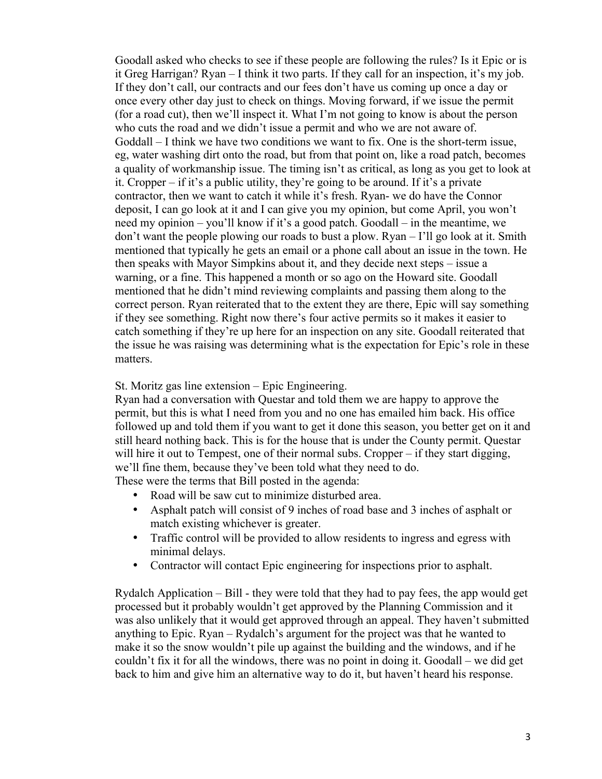Goodall asked who checks to see if these people are following the rules? Is it Epic or is it Greg Harrigan? Ryan – I think it two parts. If they call for an inspection, it's my job. If they don't call, our contracts and our fees don't have us coming up once a day or once every other day just to check on things. Moving forward, if we issue the permit (for a road cut), then we'll inspect it. What I'm not going to know is about the person who cuts the road and we didn't issue a permit and who we are not aware of. Goddall – I think we have two conditions we want to fix. One is the short-term issue, eg, water washing dirt onto the road, but from that point on, like a road patch, becomes a quality of workmanship issue. The timing isn't as critical, as long as you get to look at it. Cropper – if it's a public utility, they're going to be around. If it's a private contractor, then we want to catch it while it's fresh. Ryan- we do have the Connor deposit, I can go look at it and I can give you my opinion, but come April, you won't need my opinion – you'll know if it's a good patch. Goodall – in the meantime, we don't want the people plowing our roads to bust a plow. Ryan – I'll go look at it. Smith mentioned that typically he gets an email or a phone call about an issue in the town. He then speaks with Mayor Simpkins about it, and they decide next steps – issue a warning, or a fine. This happened a month or so ago on the Howard site. Goodall mentioned that he didn't mind reviewing complaints and passing them along to the correct person. Ryan reiterated that to the extent they are there, Epic will say something if they see something. Right now there's four active permits so it makes it easier to catch something if they're up here for an inspection on any site. Goodall reiterated that the issue he was raising was determining what is the expectation for Epic's role in these matters.

#### St. Moritz gas line extension – Epic Engineering.

Ryan had a conversation with Questar and told them we are happy to approve the permit, but this is what I need from you and no one has emailed him back. His office followed up and told them if you want to get it done this season, you better get on it and still heard nothing back. This is for the house that is under the County permit. Questar will hire it out to Tempest, one of their normal subs. Cropper – if they start digging, we'll fine them, because they've been told what they need to do. These were the terms that Bill posted in the agenda:

- Road will be saw cut to minimize disturbed area.
- Asphalt patch will consist of 9 inches of road base and 3 inches of asphalt or match existing whichever is greater.
- Traffic control will be provided to allow residents to ingress and egress with minimal delays.
- Contractor will contact Epic engineering for inspections prior to asphalt.

Rydalch Application – Bill - they were told that they had to pay fees, the app would get processed but it probably wouldn't get approved by the Planning Commission and it was also unlikely that it would get approved through an appeal. They haven't submitted anything to Epic. Ryan – Rydalch's argument for the project was that he wanted to make it so the snow wouldn't pile up against the building and the windows, and if he couldn't fix it for all the windows, there was no point in doing it. Goodall – we did get back to him and give him an alternative way to do it, but haven't heard his response.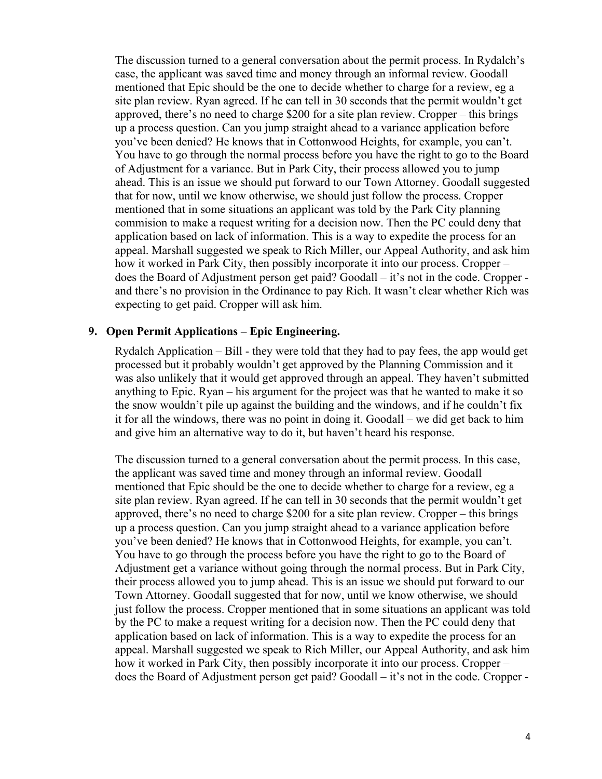The discussion turned to a general conversation about the permit process. In Rydalch's case, the applicant was saved time and money through an informal review. Goodall mentioned that Epic should be the one to decide whether to charge for a review, eg a site plan review. Ryan agreed. If he can tell in 30 seconds that the permit wouldn't get approved, there's no need to charge \$200 for a site plan review. Cropper – this brings up a process question. Can you jump straight ahead to a variance application before you've been denied? He knows that in Cottonwood Heights, for example, you can't. You have to go through the normal process before you have the right to go to the Board of Adjustment for a variance. But in Park City, their process allowed you to jump ahead. This is an issue we should put forward to our Town Attorney. Goodall suggested that for now, until we know otherwise, we should just follow the process. Cropper mentioned that in some situations an applicant was told by the Park City planning commision to make a request writing for a decision now. Then the PC could deny that application based on lack of information. This is a way to expedite the process for an appeal. Marshall suggested we speak to Rich Miller, our Appeal Authority, and ask him how it worked in Park City, then possibly incorporate it into our process. Cropper – does the Board of Adjustment person get paid? Goodall – it's not in the code. Cropper and there's no provision in the Ordinance to pay Rich. It wasn't clear whether Rich was expecting to get paid. Cropper will ask him.

#### **9. Open Permit Applications – Epic Engineering.**

Rydalch Application – Bill - they were told that they had to pay fees, the app would get processed but it probably wouldn't get approved by the Planning Commission and it was also unlikely that it would get approved through an appeal. They haven't submitted anything to Epic. Ryan – his argument for the project was that he wanted to make it so the snow wouldn't pile up against the building and the windows, and if he couldn't fix it for all the windows, there was no point in doing it. Goodall – we did get back to him and give him an alternative way to do it, but haven't heard his response.

The discussion turned to a general conversation about the permit process. In this case, the applicant was saved time and money through an informal review. Goodall mentioned that Epic should be the one to decide whether to charge for a review, eg a site plan review. Ryan agreed. If he can tell in 30 seconds that the permit wouldn't get approved, there's no need to charge \$200 for a site plan review. Cropper – this brings up a process question. Can you jump straight ahead to a variance application before you've been denied? He knows that in Cottonwood Heights, for example, you can't. You have to go through the process before you have the right to go to the Board of Adjustment get a variance without going through the normal process. But in Park City, their process allowed you to jump ahead. This is an issue we should put forward to our Town Attorney. Goodall suggested that for now, until we know otherwise, we should just follow the process. Cropper mentioned that in some situations an applicant was told by the PC to make a request writing for a decision now. Then the PC could deny that application based on lack of information. This is a way to expedite the process for an appeal. Marshall suggested we speak to Rich Miller, our Appeal Authority, and ask him how it worked in Park City, then possibly incorporate it into our process. Cropper – does the Board of Adjustment person get paid? Goodall – it's not in the code. Cropper -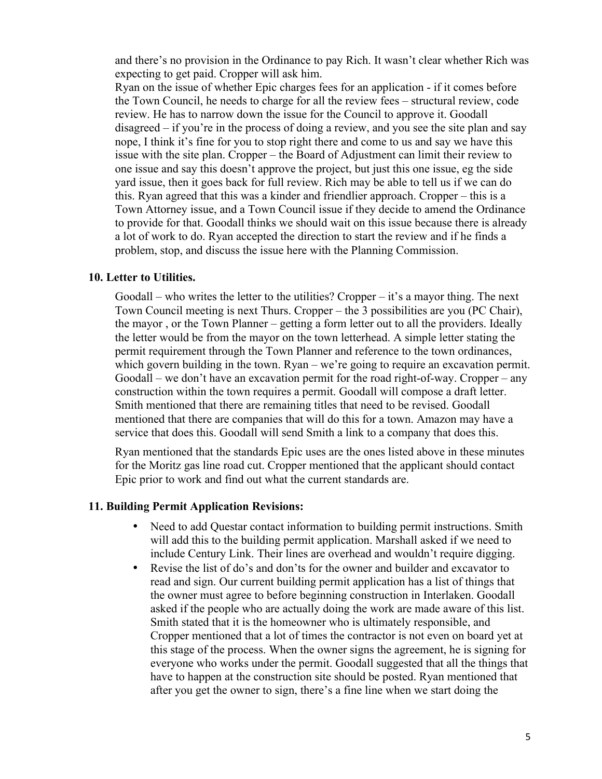and there's no provision in the Ordinance to pay Rich. It wasn't clear whether Rich was expecting to get paid. Cropper will ask him.

Ryan on the issue of whether Epic charges fees for an application - if it comes before the Town Council, he needs to charge for all the review fees – structural review, code review. He has to narrow down the issue for the Council to approve it. Goodall disagreed – if you're in the process of doing a review, and you see the site plan and say nope, I think it's fine for you to stop right there and come to us and say we have this issue with the site plan. Cropper – the Board of Adjustment can limit their review to one issue and say this doesn't approve the project, but just this one issue, eg the side yard issue, then it goes back for full review. Rich may be able to tell us if we can do this. Ryan agreed that this was a kinder and friendlier approach. Cropper – this is a Town Attorney issue, and a Town Council issue if they decide to amend the Ordinance to provide for that. Goodall thinks we should wait on this issue because there is already a lot of work to do. Ryan accepted the direction to start the review and if he finds a problem, stop, and discuss the issue here with the Planning Commission.

#### **10. Letter to Utilities.**

Goodall – who writes the letter to the utilities? Cropper – it's a mayor thing. The next Town Council meeting is next Thurs. Cropper – the 3 possibilities are you (PC Chair), the mayor , or the Town Planner – getting a form letter out to all the providers. Ideally the letter would be from the mayor on the town letterhead. A simple letter stating the permit requirement through the Town Planner and reference to the town ordinances, which govern building in the town. Ryan – we're going to require an excavation permit. Goodall – we don't have an excavation permit for the road right-of-way. Cropper – any construction within the town requires a permit. Goodall will compose a draft letter. Smith mentioned that there are remaining titles that need to be revised. Goodall mentioned that there are companies that will do this for a town. Amazon may have a service that does this. Goodall will send Smith a link to a company that does this.

Ryan mentioned that the standards Epic uses are the ones listed above in these minutes for the Moritz gas line road cut. Cropper mentioned that the applicant should contact Epic prior to work and find out what the current standards are.

#### **11. Building Permit Application Revisions:**

- Need to add Questar contact information to building permit instructions. Smith will add this to the building permit application. Marshall asked if we need to include Century Link. Their lines are overhead and wouldn't require digging.
- Revise the list of do's and don'ts for the owner and builder and excavator to read and sign. Our current building permit application has a list of things that the owner must agree to before beginning construction in Interlaken. Goodall asked if the people who are actually doing the work are made aware of this list. Smith stated that it is the homeowner who is ultimately responsible, and Cropper mentioned that a lot of times the contractor is not even on board yet at this stage of the process. When the owner signs the agreement, he is signing for everyone who works under the permit. Goodall suggested that all the things that have to happen at the construction site should be posted. Ryan mentioned that after you get the owner to sign, there's a fine line when we start doing the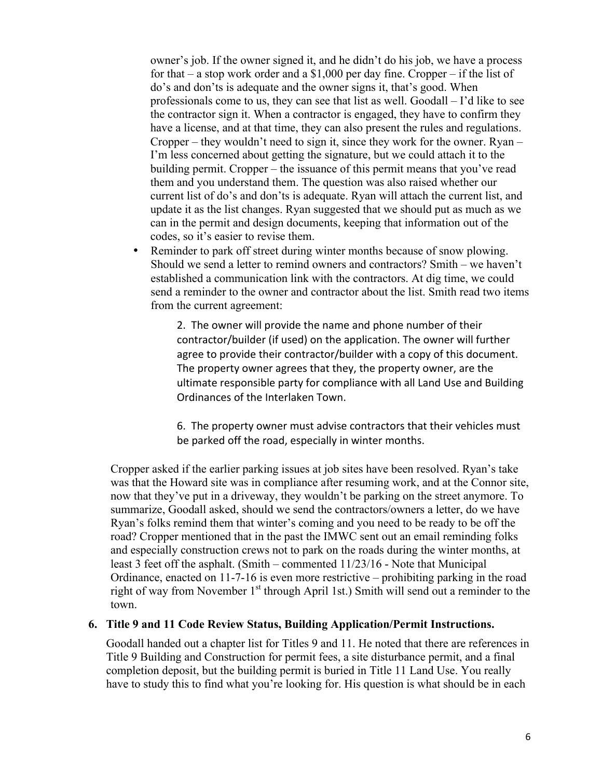owner's job. If the owner signed it, and he didn't do his job, we have a process for that – a stop work order and a \$1,000 per day fine. Cropper – if the list of do's and don'ts is adequate and the owner signs it, that's good. When professionals come to us, they can see that list as well. Goodall – I'd like to see the contractor sign it. When a contractor is engaged, they have to confirm they have a license, and at that time, they can also present the rules and regulations. Cropper – they wouldn't need to sign it, since they work for the owner. Ryan – I'm less concerned about getting the signature, but we could attach it to the building permit. Cropper – the issuance of this permit means that you've read them and you understand them. The question was also raised whether our current list of do's and don'ts is adequate. Ryan will attach the current list, and update it as the list changes. Ryan suggested that we should put as much as we can in the permit and design documents, keeping that information out of the codes, so it's easier to revise them.

Reminder to park off street during winter months because of snow plowing. Should we send a letter to remind owners and contractors? Smith – we haven't established a communication link with the contractors. At dig time, we could send a reminder to the owner and contractor about the list. Smith read two items from the current agreement:

2. The owner will provide the name and phone number of their contractor/builder (if used) on the application. The owner will further agree to provide their contractor/builder with a copy of this document. The property owner agrees that they, the property owner, are the ultimate responsible party for compliance with all Land Use and Building Ordinances of the Interlaken Town.

6. The property owner must advise contractors that their vehicles must be parked off the road, especially in winter months.

Cropper asked if the earlier parking issues at job sites have been resolved. Ryan's take was that the Howard site was in compliance after resuming work, and at the Connor site, now that they've put in a driveway, they wouldn't be parking on the street anymore. To summarize, Goodall asked, should we send the contractors/owners a letter, do we have Ryan's folks remind them that winter's coming and you need to be ready to be off the road? Cropper mentioned that in the past the IMWC sent out an email reminding folks and especially construction crews not to park on the roads during the winter months, at least 3 feet off the asphalt. (Smith – commented 11/23/16 - Note that Municipal Ordinance, enacted on 11-7-16 is even more restrictive – prohibiting parking in the road right of way from November  $1<sup>st</sup>$  through April 1st.) Smith will send out a reminder to the town.

#### **6. Title 9 and 11 Code Review Status, Building Application/Permit Instructions.**

Goodall handed out a chapter list for Titles 9 and 11. He noted that there are references in Title 9 Building and Construction for permit fees, a site disturbance permit, and a final completion deposit, but the building permit is buried in Title 11 Land Use. You really have to study this to find what you're looking for. His question is what should be in each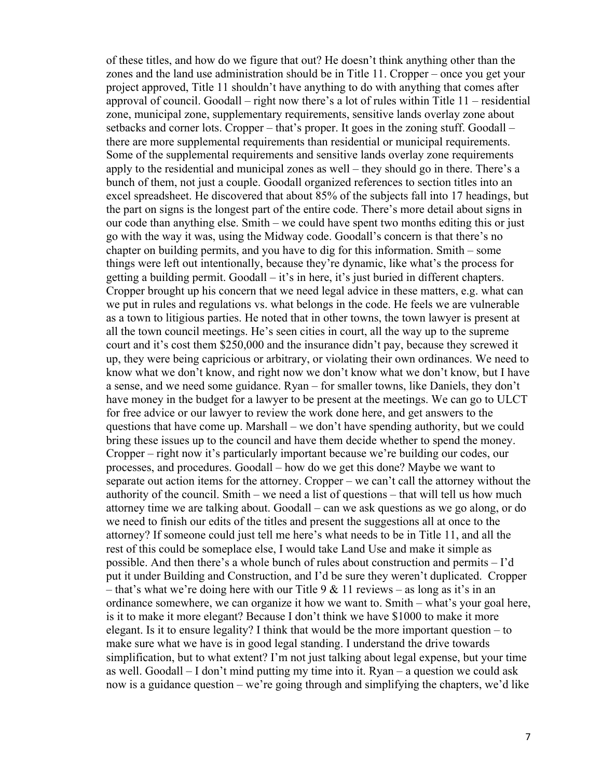of these titles, and how do we figure that out? He doesn't think anything other than the zones and the land use administration should be in Title 11. Cropper – once you get your project approved, Title 11 shouldn't have anything to do with anything that comes after approval of council. Goodall – right now there's a lot of rules within Title 11 – residential zone, municipal zone, supplementary requirements, sensitive lands overlay zone about setbacks and corner lots. Cropper – that's proper. It goes in the zoning stuff. Goodall – there are more supplemental requirements than residential or municipal requirements. Some of the supplemental requirements and sensitive lands overlay zone requirements apply to the residential and municipal zones as well – they should go in there. There's a bunch of them, not just a couple. Goodall organized references to section titles into an excel spreadsheet. He discovered that about 85% of the subjects fall into 17 headings, but the part on signs is the longest part of the entire code. There's more detail about signs in our code than anything else. Smith – we could have spent two months editing this or just go with the way it was, using the Midway code. Goodall's concern is that there's no chapter on building permits, and you have to dig for this information. Smith – some things were left out intentionally, because they're dynamic, like what's the process for getting a building permit. Goodall – it's in here, it's just buried in different chapters. Cropper brought up his concern that we need legal advice in these matters, e.g. what can we put in rules and regulations vs. what belongs in the code. He feels we are vulnerable as a town to litigious parties. He noted that in other towns, the town lawyer is present at all the town council meetings. He's seen cities in court, all the way up to the supreme court and it's cost them \$250,000 and the insurance didn't pay, because they screwed it up, they were being capricious or arbitrary, or violating their own ordinances. We need to know what we don't know, and right now we don't know what we don't know, but I have a sense, and we need some guidance. Ryan – for smaller towns, like Daniels, they don't have money in the budget for a lawyer to be present at the meetings. We can go to ULCT for free advice or our lawyer to review the work done here, and get answers to the questions that have come up. Marshall – we don't have spending authority, but we could bring these issues up to the council and have them decide whether to spend the money. Cropper – right now it's particularly important because we're building our codes, our processes, and procedures. Goodall – how do we get this done? Maybe we want to separate out action items for the attorney. Cropper – we can't call the attorney without the authority of the council. Smith – we need a list of questions – that will tell us how much attorney time we are talking about. Goodall – can we ask questions as we go along, or do we need to finish our edits of the titles and present the suggestions all at once to the attorney? If someone could just tell me here's what needs to be in Title 11, and all the rest of this could be someplace else, I would take Land Use and make it simple as possible. And then there's a whole bunch of rules about construction and permits – I'd put it under Building and Construction, and I'd be sure they weren't duplicated. Cropper – that's what we're doing here with our Title  $9 & 11$  reviews – as long as it's in an ordinance somewhere, we can organize it how we want to. Smith – what's your goal here, is it to make it more elegant? Because I don't think we have \$1000 to make it more elegant. Is it to ensure legality? I think that would be the more important question – to make sure what we have is in good legal standing. I understand the drive towards simplification, but to what extent? I'm not just talking about legal expense, but your time as well. Goodall – I don't mind putting my time into it. Ryan – a question we could ask now is a guidance question – we're going through and simplifying the chapters, we'd like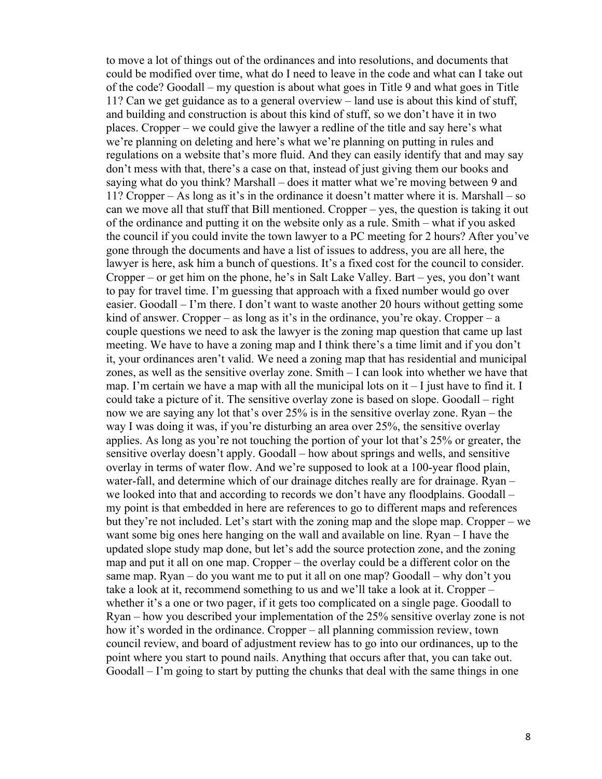to move a lot of things out of the ordinances and into resolutions, and documents that could be modified over time, what do I need to leave in the code and what can I take out of the code? Goodall – my question is about what goes in Title 9 and what goes in Title 11? Can we get guidance as to a general overview – land use is about this kind of stuff, and building and construction is about this kind of stuff, so we don't have it in two places. Cropper – we could give the lawyer a redline of the title and say here's what we're planning on deleting and here's what we're planning on putting in rules and regulations on a website that's more fluid. And they can easily identify that and may say don't mess with that, there's a case on that, instead of just giving them our books and saying what do you think? Marshall – does it matter what we're moving between 9 and 11? Cropper – As long as it's in the ordinance it doesn't matter where it is. Marshall – so can we move all that stuff that Bill mentioned. Cropper – yes, the question is taking it out of the ordinance and putting it on the website only as a rule. Smith – what if you asked the council if you could invite the town lawyer to a PC meeting for 2 hours? After you've gone through the documents and have a list of issues to address, you are all here, the lawyer is here, ask him a bunch of questions. It's a fixed cost for the council to consider. Cropper – or get him on the phone, he's in Salt Lake Valley. Bart – yes, you don't want to pay for travel time. I'm guessing that approach with a fixed number would go over easier. Goodall – I'm there. I don't want to waste another 20 hours without getting some kind of answer. Cropper – as long as it's in the ordinance, you're okay. Cropper – a couple questions we need to ask the lawyer is the zoning map question that came up last meeting. We have to have a zoning map and I think there's a time limit and if you don't it, your ordinances aren't valid. We need a zoning map that has residential and municipal zones, as well as the sensitive overlay zone. Smith – I can look into whether we have that map. I'm certain we have a map with all the municipal lots on  $it - I$  just have to find it. I could take a picture of it. The sensitive overlay zone is based on slope. Goodall – right now we are saying any lot that's over 25% is in the sensitive overlay zone. Ryan – the way I was doing it was, if you're disturbing an area over 25%, the sensitive overlay applies. As long as you're not touching the portion of your lot that's 25% or greater, the sensitive overlay doesn't apply. Goodall – how about springs and wells, and sensitive overlay in terms of water flow. And we're supposed to look at a 100-year flood plain, water-fall, and determine which of our drainage ditches really are for drainage. Ryan – we looked into that and according to records we don't have any floodplains. Goodall – my point is that embedded in here are references to go to different maps and references but they're not included. Let's start with the zoning map and the slope map. Cropper – we want some big ones here hanging on the wall and available on line. Ryan – I have the updated slope study map done, but let's add the source protection zone, and the zoning map and put it all on one map. Cropper – the overlay could be a different color on the same map. Ryan – do you want me to put it all on one map? Goodall – why don't you take a look at it, recommend something to us and we'll take a look at it. Cropper – whether it's a one or two pager, if it gets too complicated on a single page. Goodall to Ryan – how you described your implementation of the 25% sensitive overlay zone is not how it's worded in the ordinance. Cropper – all planning commission review, town council review, and board of adjustment review has to go into our ordinances, up to the point where you start to pound nails. Anything that occurs after that, you can take out. Goodall – I'm going to start by putting the chunks that deal with the same things in one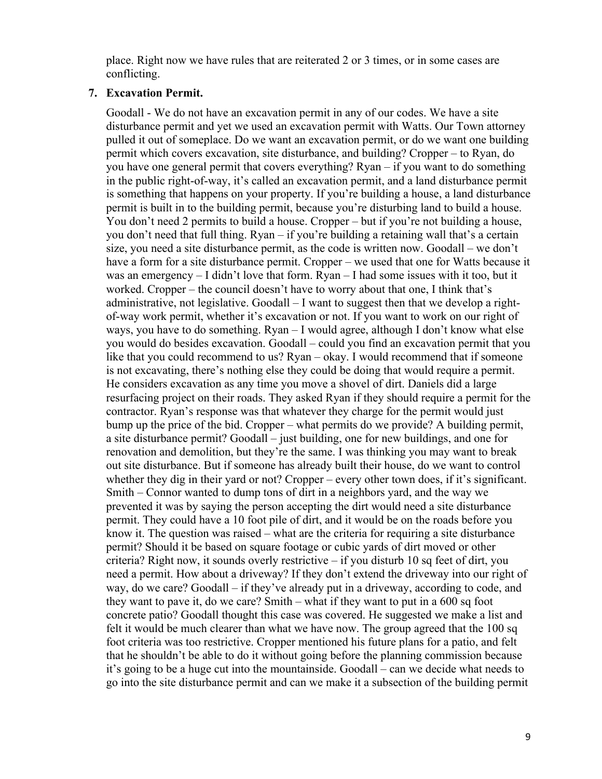place. Right now we have rules that are reiterated 2 or 3 times, or in some cases are conflicting.

#### **7. Excavation Permit.**

Goodall - We do not have an excavation permit in any of our codes. We have a site disturbance permit and yet we used an excavation permit with Watts. Our Town attorney pulled it out of someplace. Do we want an excavation permit, or do we want one building permit which covers excavation, site disturbance, and building? Cropper – to Ryan, do you have one general permit that covers everything? Ryan – if you want to do something in the public right-of-way, it's called an excavation permit, and a land disturbance permit is something that happens on your property. If you're building a house, a land disturbance permit is built in to the building permit, because you're disturbing land to build a house. You don't need 2 permits to build a house. Cropper – but if you're not building a house, you don't need that full thing. Ryan – if you're building a retaining wall that's a certain size, you need a site disturbance permit, as the code is written now. Goodall – we don't have a form for a site disturbance permit. Cropper – we used that one for Watts because it was an emergency – I didn't love that form. Ryan – I had some issues with it too, but it worked. Cropper – the council doesn't have to worry about that one, I think that's administrative, not legislative. Goodall – I want to suggest then that we develop a rightof-way work permit, whether it's excavation or not. If you want to work on our right of ways, you have to do something. Ryan – I would agree, although I don't know what else you would do besides excavation. Goodall – could you find an excavation permit that you like that you could recommend to us? Ryan – okay. I would recommend that if someone is not excavating, there's nothing else they could be doing that would require a permit. He considers excavation as any time you move a shovel of dirt. Daniels did a large resurfacing project on their roads. They asked Ryan if they should require a permit for the contractor. Ryan's response was that whatever they charge for the permit would just bump up the price of the bid. Cropper – what permits do we provide? A building permit, a site disturbance permit? Goodall – just building, one for new buildings, and one for renovation and demolition, but they're the same. I was thinking you may want to break out site disturbance. But if someone has already built their house, do we want to control whether they dig in their yard or not? Cropper – every other town does, if it's significant. Smith – Connor wanted to dump tons of dirt in a neighbors yard, and the way we prevented it was by saying the person accepting the dirt would need a site disturbance permit. They could have a 10 foot pile of dirt, and it would be on the roads before you know it. The question was raised – what are the criteria for requiring a site disturbance permit? Should it be based on square footage or cubic yards of dirt moved or other criteria? Right now, it sounds overly restrictive – if you disturb 10 sq feet of dirt, you need a permit. How about a driveway? If they don't extend the driveway into our right of way, do we care? Goodall – if they've already put in a driveway, according to code, and they want to pave it, do we care? Smith – what if they want to put in a 600 sq foot concrete patio? Goodall thought this case was covered. He suggested we make a list and felt it would be much clearer than what we have now. The group agreed that the 100 sq foot criteria was too restrictive. Cropper mentioned his future plans for a patio, and felt that he shouldn't be able to do it without going before the planning commission because it's going to be a huge cut into the mountainside. Goodall – can we decide what needs to go into the site disturbance permit and can we make it a subsection of the building permit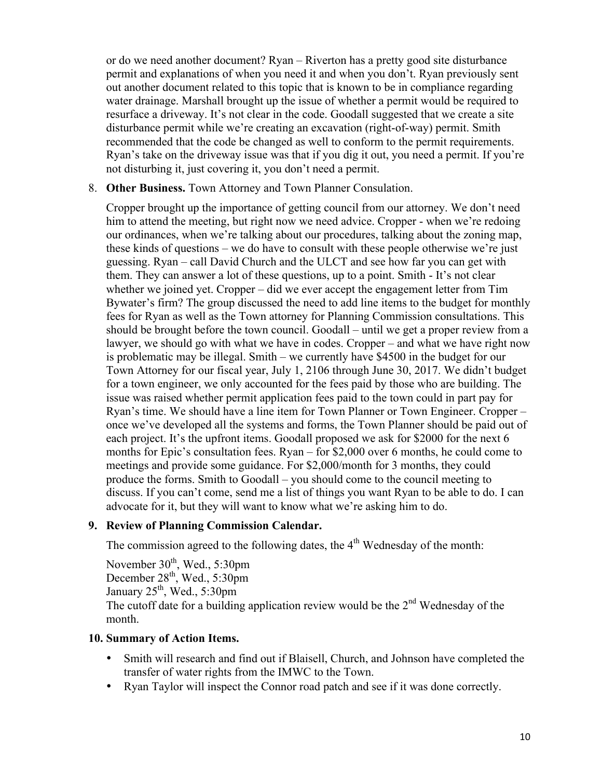or do we need another document? Ryan – Riverton has a pretty good site disturbance permit and explanations of when you need it and when you don't. Ryan previously sent out another document related to this topic that is known to be in compliance regarding water drainage. Marshall brought up the issue of whether a permit would be required to resurface a driveway. It's not clear in the code. Goodall suggested that we create a site disturbance permit while we're creating an excavation (right-of-way) permit. Smith recommended that the code be changed as well to conform to the permit requirements. Ryan's take on the driveway issue was that if you dig it out, you need a permit. If you're not disturbing it, just covering it, you don't need a permit.

#### 8. **Other Business.** Town Attorney and Town Planner Consulation.

Cropper brought up the importance of getting council from our attorney. We don't need him to attend the meeting, but right now we need advice. Cropper - when we're redoing our ordinances, when we're talking about our procedures, talking about the zoning map, these kinds of questions – we do have to consult with these people otherwise we're just guessing. Ryan – call David Church and the ULCT and see how far you can get with them. They can answer a lot of these questions, up to a point. Smith - It's not clear whether we joined yet. Cropper – did we ever accept the engagement letter from Tim Bywater's firm? The group discussed the need to add line items to the budget for monthly fees for Ryan as well as the Town attorney for Planning Commission consultations. This should be brought before the town council. Goodall – until we get a proper review from a lawyer, we should go with what we have in codes. Cropper – and what we have right now is problematic may be illegal. Smith – we currently have \$4500 in the budget for our Town Attorney for our fiscal year, July 1, 2106 through June 30, 2017. We didn't budget for a town engineer, we only accounted for the fees paid by those who are building. The issue was raised whether permit application fees paid to the town could in part pay for Ryan's time. We should have a line item for Town Planner or Town Engineer. Cropper – once we've developed all the systems and forms, the Town Planner should be paid out of each project. It's the upfront items. Goodall proposed we ask for \$2000 for the next 6 months for Epic's consultation fees. Ryan – for \$2,000 over 6 months, he could come to meetings and provide some guidance. For \$2,000/month for 3 months, they could produce the forms. Smith to Goodall – you should come to the council meeting to discuss. If you can't come, send me a list of things you want Ryan to be able to do. I can advocate for it, but they will want to know what we're asking him to do.

#### **9. Review of Planning Commission Calendar.**

The commission agreed to the following dates, the  $4<sup>th</sup>$  Wednesday of the month:

November  $30<sup>th</sup>$ , Wed., 5:30pm December 28<sup>th</sup>, Wed., 5:30pm January  $25<sup>th</sup>$ , Wed.,  $5:30 \text{pm}$ The cutoff date for a building application review would be the  $2<sup>nd</sup>$  Wednesday of the month.

## **10. Summary of Action Items.**

- Smith will research and find out if Blaisell, Church, and Johnson have completed the transfer of water rights from the IMWC to the Town.
- Ryan Taylor will inspect the Connor road patch and see if it was done correctly.